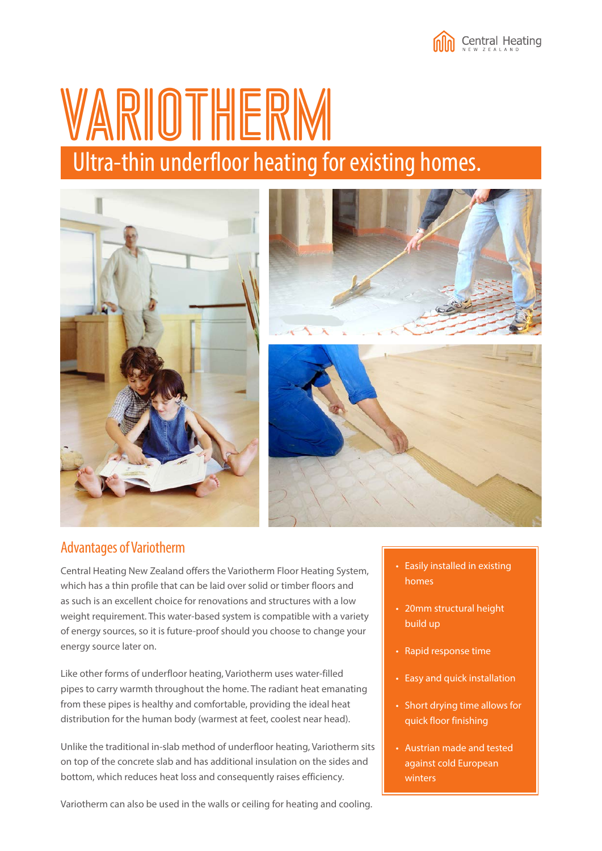# VARIOTHERM Ultra-thin underfloor heating for existing homes.





### Advantages of Variotherm

Central Heating New Zealand offers the Variotherm Floor Heating System, which has a thin profile that can be laid over solid or timber floors and as such is an excellent choice for renovations and structures with a low weight requirement. This water-based system is compatible with a variety of energy sources, so it is future-proof should you choose to change your energy source later on.

Like other forms of underfloor heating, Variotherm uses water-filled pipes to carry warmth throughout the home. The radiant heat emanating from these pipes is healthy and comfortable, providing the ideal heat distribution for the human body (warmest at feet, coolest near head).

Unlike the traditional in-slab method of underfloor heating, Variotherm sits on top of the concrete slab and has additional insulation on the sides and bottom, which reduces heat loss and consequently raises efficiency.

- Easily installed in existing homes
- 20mm structural height build up
- Rapid response time
- Easy and quick installation
- Short drying time allows for quick floor finishing
- Austrian made and tested against cold European winters

Variotherm can also be used in the walls or ceiling for heating and cooling.